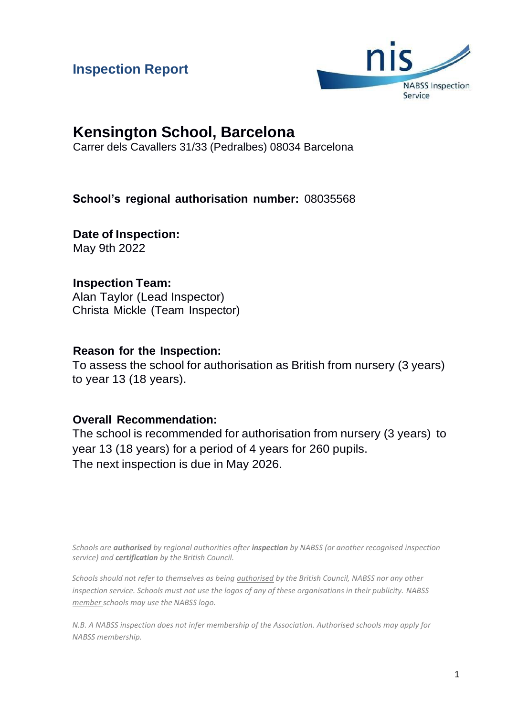## **Inspection Report**



# **Kensington School, Barcelona**

Carrer dels Cavallers 31/33 (Pedralbes) 08034 Barcelona

## **School's regional authorisation number:** 08035568

**Date of Inspection:** May 9th 2022

## **Inspection Team:**

Alan Taylor (Lead Inspector) Christa Mickle (Team Inspector)

## **Reason for the Inspection:**

To assess the school for authorisation as British from nursery (3 years) to year 13 (18 years).

## **Overall Recommendation:**

The school is recommended for authorisation from nursery (3 years) to year 13 (18 years) for a period of 4 years for 260 pupils. The next inspection is due in May 2026.

*Schools are authorised by regional authorities after inspection by NABSS (or another recognised inspection service) and certification by the British Council.*

*Schools should not refer to themselves as being authorised by the British Council, NABSS nor any other inspection service. Schools must not use the logos of any of these organisations in their publicity. NABSS member schools may use the NABSS logo.*

*N.B. A NABSS inspection does not infer membership of the Association. Authorised schools may apply for NABSS membership.*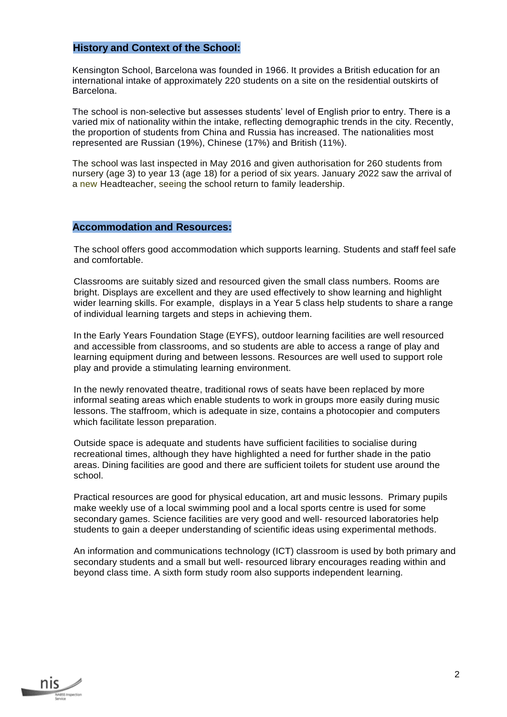#### **History and Context of the School:**

Kensington School, Barcelona was founded in 1966. It provides a British education for an international intake of approximately 220 students on a site on the residential outskirts of Barcelona.

The school is non-selective but assesses students' level of English prior to entry. There is a varied mix of nationality within the intake, reflecting demographic trends in the city*.* Recently, the proportion of students from China and Russia has increased. The nationalities most represented are Russian (19%), Chinese (17%) and British (11%).

The school was last inspected in May 2016 and given authorisation for 260 students from nursery (age 3) to year 13 (age 18) for a period of six years. January *2*022 saw the arrival of a new Headteacher, seeing the school return to family leadership.

#### **Accommodation and Resources:**

The school offers good accommodation which supports learning. Students and staff feel safe and comfortable.

Classrooms are suitably sized and resourced given the small class numbers. Rooms are bright. Displays are excellent and they are used effectively to show learning and highlight wider learning skills. For example, displays in a Year 5 class help students to share a range of individual learning targets and steps in achieving them.

In the Early Years Foundation Stage (EYFS), outdoor learning facilities are well resourced and accessible from classrooms, and so students are able to access a range of play and learning equipment during and between lessons. Resources are well used to support role play and provide a stimulating learning environment.

In the newly renovated theatre, traditional rows of seats have been replaced by more informal seating areas which enable students to work in groups more easily during music lessons. The staffroom, which is adequate in size, contains a photocopier and computers which facilitate lesson preparation.

Outside space is adequate and students have sufficient facilities to socialise during recreational times, although they have highlighted a need for further shade in the patio areas. Dining facilities are good and there are sufficient toilets for student use around the school.

Practical resources are good for physical education, art and music lessons. Primary pupils make weekly use of a local swimming pool and a local sports centre is used for some secondary games. Science facilities are very good and well- resourced laboratories help students to gain a deeper understanding of scientific ideas using experimental methods.

An information and communications technology (ICT) classroom is used by both primary and secondary students and a small but well- resourced library encourages reading within and beyond class time. A sixth form study room also supports independent learning.

nis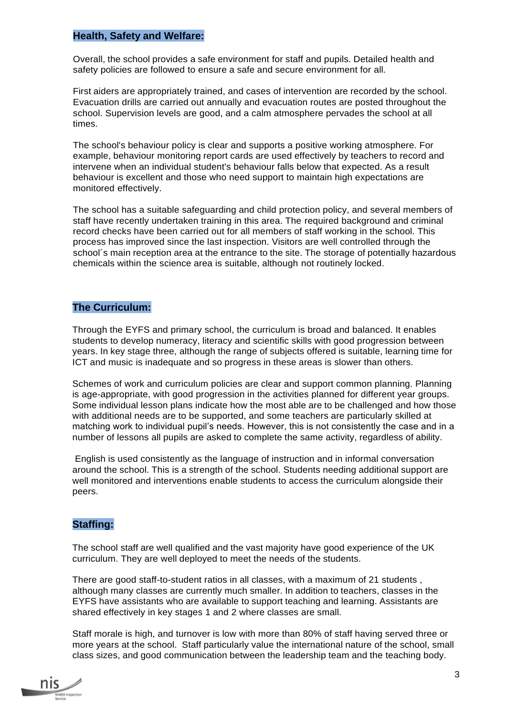#### **Health, Safety and Welfare:**

Overall, the school provides a safe environment for staff and pupils. Detailed health and safety policies are followed to ensure a safe and secure environment for all.

First aiders are appropriately trained, and cases of intervention are recorded by the school. Evacuation drills are carried out annually and evacuation routes are posted throughout the school. Supervision levels are good, and a calm atmosphere pervades the school at all times.

The school's behaviour policy is clear and supports a positive working atmosphere. For example, behaviour monitoring report cards are used effectively by teachers to record and intervene when an individual student's behaviour falls below that expected. As a result behaviour is excellent and those who need support to maintain high expectations are monitored effectively.

The school has a suitable safeguarding and child protection policy, and several members of staff have recently undertaken training in this area. The required background and criminal record checks have been carried out for all members of staff working in the school. This process has improved since the last inspection. Visitors are well controlled through the school´s main reception area at the entrance to the site. The storage of potentially hazardous chemicals within the science area is suitable, although not routinely locked.

#### **The Curriculum:**

Through the EYFS and primary school, the curriculum is broad and balanced. It enables students to develop numeracy, literacy and scientific skills with good progression between years. In key stage three, although the range of subjects offered is suitable, learning time for ICT and music is inadequate and so progress in these areas is slower than others.

Schemes of work and curriculum policies are clear and support common planning. Planning is age-appropriate, with good progression in the activities planned for different year groups. Some individual lesson plans indicate how the most able are to be challenged and how those with additional needs are to be supported, and some teachers are particularly skilled at matching work to individual pupil's needs. However, this is not consistently the case and in a number of lessons all pupils are asked to complete the same activity, regardless of ability.

English is used consistently as the language of instruction and in informal conversation around the school. This is a strength of the school. Students needing additional support are well monitored and interventions enable students to access the curriculum alongside their peers.

#### **Staffing:**

The school staff are well qualified and the vast majority have good experience of the UK curriculum. They are well deployed to meet the needs of the students.

There are good staff-to-student ratios in all classes, with a maximum of 21 students , although many classes are currently much smaller. In addition to teachers, classes in the EYFS have assistants who are available to support teaching and learning. Assistants are shared effectively in key stages 1 and 2 where classes are small.

Staff morale is high, and turnover is low with more than 80% of staff having served three or more years at the school. Staff particularly value the international nature of the school, small class sizes, and good communication between the leadership team and the teaching body.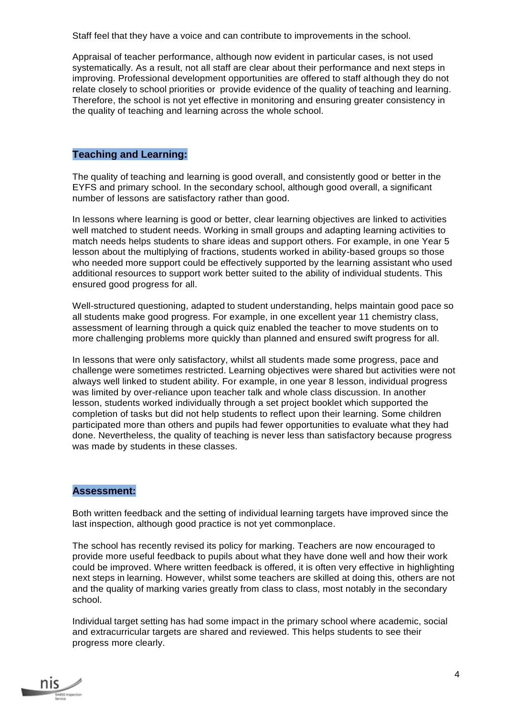Staff feel that they have a voice and can contribute to improvements in the school.

Appraisal of teacher performance, although now evident in particular cases, is not used systematically. As a result, not all staff are clear about their performance and next steps in improving. Professional development opportunities are offered to staff although they do not relate closely to school priorities or provide evidence of the quality of teaching and learning. Therefore, the school is not yet effective in monitoring and ensuring greater consistency in the quality of teaching and learning across the whole school.

#### **Teaching and Learning:**

The quality of teaching and learning is good overall, and consistently good or better in the EYFS and primary school. In the secondary school, although good overall, a significant number of lessons are satisfactory rather than good.

In lessons where learning is good or better, clear learning objectives are linked to activities well matched to student needs. Working in small groups and adapting learning activities to match needs helps students to share ideas and support others. For example, in one Year 5 lesson about the multiplying of fractions, students worked in ability-based groups so those who needed more support could be effectively supported by the learning assistant who used additional resources to support work better suited to the ability of individual students. This ensured good progress for all.

Well-structured questioning, adapted to student understanding, helps maintain good pace so all students make good progress. For example, in one excellent year 11 chemistry class, assessment of learning through a quick quiz enabled the teacher to move students on to more challenging problems more quickly than planned and ensured swift progress for all.

In lessons that were only satisfactory, whilst all students made some progress, pace and challenge were sometimes restricted. Learning objectives were shared but activities were not always well linked to student ability. For example, in one year 8 lesson, individual progress was limited by over-reliance upon teacher talk and whole class discussion. In another lesson, students worked individually through a set project booklet which supported the completion of tasks but did not help students to reflect upon their learning. Some children participated more than others and pupils had fewer opportunities to evaluate what they had done. Nevertheless, the quality of teaching is never less than satisfactory because progress was made by students in these classes.

#### **Assessment:**

Both written feedback and the setting of individual learning targets have improved since the last inspection, although good practice is not yet commonplace.

The school has recently revised its policy for marking. Teachers are now encouraged to provide more useful feedback to pupils about what they have done well and how their work could be improved. Where written feedback is offered, it is often very effective in highlighting next steps in learning. However, whilst some teachers are skilled at doing this, others are not and the quality of marking varies greatly from class to class, most notably in the secondary school.

Individual target setting has had some impact in the primary school where academic, social and extracurricular targets are shared and reviewed. This helps students to see their progress more clearly.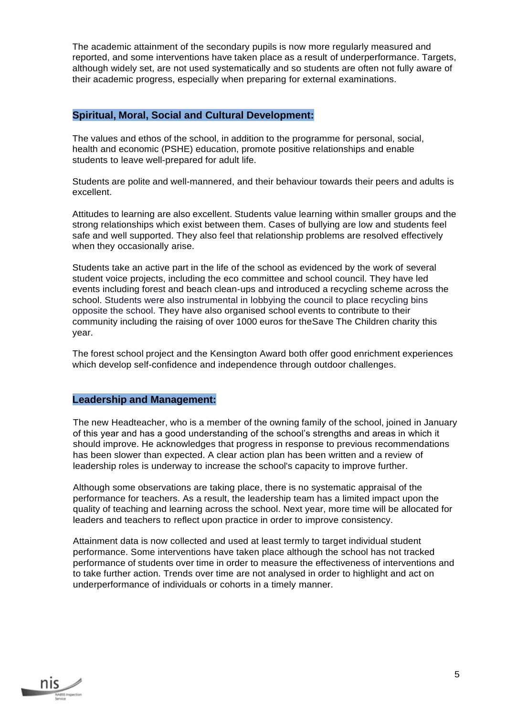The academic attainment of the secondary pupils is now more regularly measured and reported, and some interventions have taken place as a result of underperformance. Targets, although widely set, are not used systematically and so students are often not fully aware of their academic progress, especially when preparing for external examinations.

#### **Spiritual, Moral, Social and Cultural Development:**

The values and ethos of the school, in addition to the programme for personal, social, health and economic (PSHE) education, promote positive relationships and enable students to leave well-prepared for adult life.

Students are polite and well-mannered, and their behaviour towards their peers and adults is excellent.

Attitudes to learning are also excellent. Students value learning within smaller groups and the strong relationships which exist between them. Cases of bullying are low and students feel safe and well supported. They also feel that relationship problems are resolved effectively when they occasionally arise.

Students take an active part in the life of the school as evidenced by the work of several student voice projects, including the eco committee and school council. They have led events including forest and beach clean-ups and introduced a recycling scheme across the school. Students were also instrumental in lobbying the council to place recycling bins opposite the school. They have also organised school events to contribute to their community including the raising of over 1000 euros for theSave The Children charity this year.

The forest school project and the Kensington Award both offer good enrichment experiences which develop self-confidence and independence through outdoor challenges.

#### **Leadership and Management:**

The new Headteacher, who is a member of the owning family of the school, joined in January of this year and has a good understanding of the school's strengths and areas in which it should improve. He acknowledges that progress in response to previous recommendations has been slower than expected. A clear action plan has been written and a review of leadership roles is underway to increase the school's capacity to improve further.

Although some observations are taking place, there is no systematic appraisal of the performance for teachers. As a result, the leadership team has a limited impact upon the quality of teaching and learning across the school. Next year, more time will be allocated for leaders and teachers to reflect upon practice in order to improve consistency.

Attainment data is now collected and used at least termly to target individual student performance. Some interventions have taken place although the school has not tracked performance of students over time in order to measure the effectiveness of interventions and to take further action. Trends over time are not analysed in order to highlight and act on underperformance of individuals or cohorts in a timely manner.

nıs